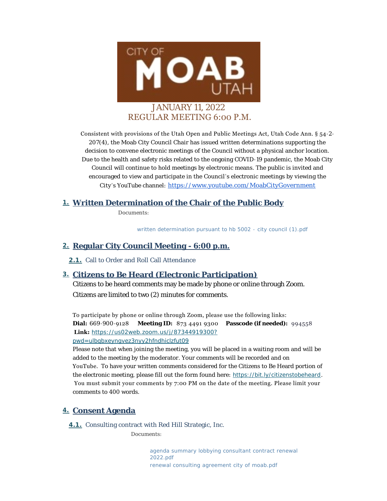

Consistent with provisions of the Utah Open and Public Meetings Act, Utah Code Ann. § 54-2- 207(4), the Moab City Council Chair has issued written determinations supporting the decision to convene electronic meetings of the Council without a physical anchor location. Due to the health and safety risks related to the ongoing COVID-19 pandemic, the Moab City Council will continue to hold meetings by electronic means. The public is invited and encouraged to view and participate in the Council's electronic meetings by viewing the City 's YouTube channel: [https://www.youtube.com/MoabCityGovernment](https://www.youtube.com/c/MoabCityGovernment)

# **Written Determination of the Chair of the Public Body 1.**

*Documents:*

*[written determination pursuant to hb 5002 - city council \(1\).pdf](https://moabcity.org/AgendaCenter/ViewFile/Item/4407?fileID=5533)*

### **Regular City Council Meeting - 6:00 p.m. 2.**

2.1. Call to Order and Roll Call Attendance

### **Citizens to Be Heard (Electronic Participation) 3.**

Citizens to be heard comments may be made by phone or online through Zoom. Citizens are limited to two (2) minutes for comments.

To participate by phone or online through Zoom, please use the following links: **Dial:** 669-900-9128 **Meeting ID:** 873 4491 9300 **Passcode (if needed):** 994558  **Link:** *[https://us02web.zoom.us/j/87344919300?](https://us02web.zoom.us/j/87344919300?pwd=UlBqbXEyNGVEZ3NYY2hFNDhIclZFUT09) pwd=ulbqbxeyngvez3nyy2hfndhiclzfut09*

Please note that when joining the meeting, you will be placed in a waiting room and will be added to the meeting by the moderator. Your comments will be recorded and on YouTube. To have your written comments considered for the Citizens to Be Heard portion of the electronic meeting, please fill out the form found here: *<https://bit.ly/citizenstobeheard>*. You must submit your comments by 7:00 PM on the date of the meeting. Please limit your comments to 400 words.

### **Consent Agenda 4.**

**4.1.** Consulting contract with Red Hill Strategic, Inc.

*Documents:*

*[agenda summary lobbying consultant contract renewal](https://moabcity.org/AgendaCenter/ViewFile/Item/4399?fileID=5529)  2022.pdf [renewal consulting agreement city of moab.pdf](https://moabcity.org/AgendaCenter/ViewFile/Item/4399?fileID=5530)*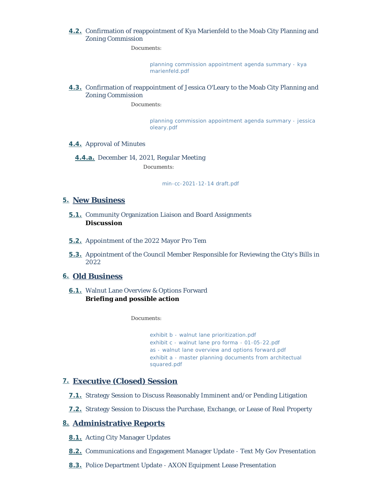#### Confirmation of reappointment of Kya Marienfeld to the Moab City Planning and **4.2.** Zoning Commission

*Documents:*

*[planning commission appointment agenda summary - kya](https://moabcity.org/AgendaCenter/ViewFile/Item/4400?fileID=5531)  marienfeld.pdf*

#### **4.3.** Confirmation of reappointment of Jessica O'Leary to the Moab City Planning and Zoning Commission

*Documents:*

*[planning commission appointment agenda summary - jessica](https://moabcity.org/AgendaCenter/ViewFile/Item/4401?fileID=5532)  oleary.pdf*

#### 4.4. Approval of Minutes

December 14, 2021, Regular Meeting **4.4.a.**

*Documents:*

*[min-cc-2021-12-14 draft.pdf](https://moabcity.org/AgendaCenter/ViewFile/Item/4395?fileID=5528)*

#### **New Business 5.**

- **5.1.** Community Organization Liaison and Board Assignments **Discussion**
- 5.2. Appointment of the 2022 Mayor Pro Tem
- **5.3.** Appointment of the Council Member Responsible for Reviewing the City's Bills in 2022

#### **Old Business 6.**

Walnut Lane Overview & Options Forward **6.1. Briefing and possible action**

*Documents:*

*[exhibit b - walnut lane prioritization.pdf](https://moabcity.org/AgendaCenter/ViewFile/Item/4382?fileID=5524) [exhibit c - walnut lane pro forma - 01-05-22.pdf](https://moabcity.org/AgendaCenter/ViewFile/Item/4382?fileID=5525) [as - walnut lane overview and options forward.pdf](https://moabcity.org/AgendaCenter/ViewFile/Item/4382?fileID=5526) [exhibit a - master planning documents from architectual](https://moabcity.org/AgendaCenter/ViewFile/Item/4382?fileID=5527)  squared.pdf*

### **Executive (Closed) Session 7.**

- **7.1.** Strategy Session to Discuss Reasonably Imminent and/or Pending Litigation
- **7.2.** Strategy Session to Discuss the Purchase, Exchange, or Lease of Real Property

### **Administrative Reports 8.**

- 8.1. Acting City Manager Updates
- **8.2.** Communications and Engagement Manager Update Text My Gov Presentation
- 8.3. Police Department Update AXON Equipment Lease Presentation